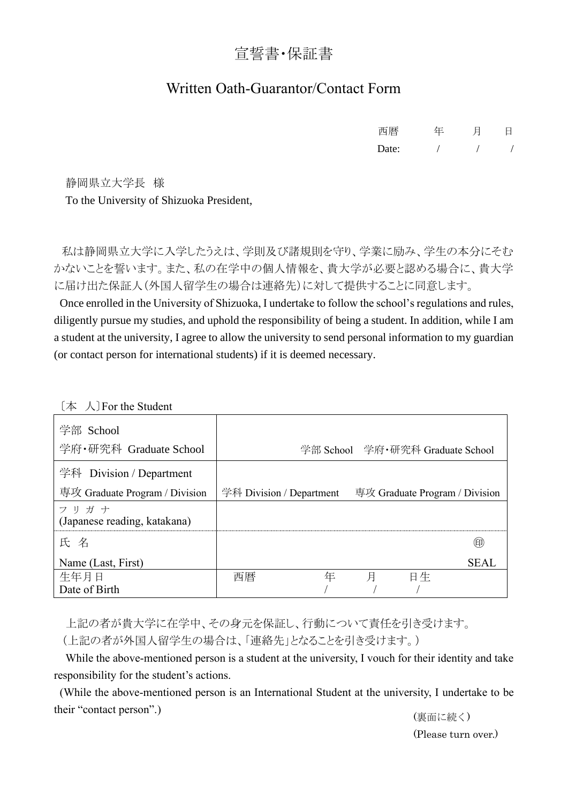## 宣誓書・保証書

## Written Oath-Guarantor/Contact Form

| 西暦    | 年 | H | 日 |
|-------|---|---|---|
| Date: |   |   |   |

静岡県立大学長 様 To the University of Shizuoka President,

私は静岡県立大学に入学したうえは、学則及び諸規則を守り、学業に励み、学生の本分にそむ かないことを誓います。また、私の在学中の個人情報を、貴大学が必要と認める場合に、貴大学 に届け出た保証人(外国人留学生の場合は連絡先)に対して提供することに同意します。

Once enrolled in the University of Shizuoka, I undertake to follow the school's regulations and rules, diligently pursue my studies, and uphold the responsibility of being a student. In addition, while I am a student at the university, I agree to allow the university to send personal information to my guardian (or contact person for international students) if it is deemed necessary.

| 学部 School<br>学府·研究科 Graduate School  |                          |   |   |    | 学部 School 学府·研究科 Graduate School |
|--------------------------------------|--------------------------|---|---|----|----------------------------------|
| 学科 Division / Department             |                          |   |   |    |                                  |
| 専攻 Graduate Program / Division       | 学科 Division / Department |   |   |    | 専攻 Graduate Program / Division   |
| フリガナ<br>(Japanese reading, katakana) |                          |   |   |    |                                  |
| 氏 名                                  |                          |   |   |    | 囲                                |
| Name (Last, First)                   |                          |   |   |    | <b>SEAL</b>                      |
| 生年月日                                 | 西暦                       | 年 | 月 | 日生 |                                  |
| Date of Birth                        |                          |   |   |    |                                  |

〔本 人〕For the Student

上記の者が貴大学に在学中、その身元を保証し、行動について責任を引き受けます。 (上記の者が外国人留学生の場合は、「連絡先」となることを引き受けます。)

 While the above-mentioned person is a student at the university, I vouch for their identity and take responsibility for the student's actions.

(While the above-mentioned person is an International Student at the university, I undertake to be their "contact person".)

(裏面に続く) (Please turn over.)